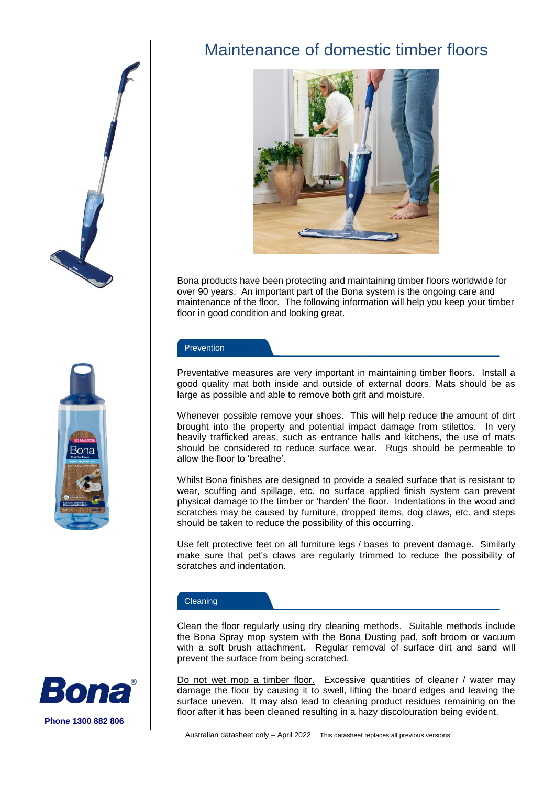



# Maintenance of domestic timber floors



Bona products have been protecting and maintaining timber floors worldwide for over 90 years. An important part of the Bona system is the ongoing care and maintenance of the floor. The following information will help you keep your timber floor in good condition and looking great.

#### **Prevention**

Preventative measures are very important in maintaining timber floors. Install a good quality mat both inside and outside of external doors. Mats should be as large as possible and able to remove both grit and moisture.

Whenever possible remove your shoes. This will help reduce the amount of dirt brought into the property and potential impact damage from stilettos. In very heavily trafficked areas, such as entrance halls and kitchens, the use of mats should be considered to reduce surface wear. Rugs should be permeable to allow the floor to 'breathe'.

Whilst Bona finishes are designed to provide a sealed surface that is resistant to wear, scuffing and spillage, etc. no surface applied finish system can prevent physical damage to the timber or 'harden' the floor. Indentations in the wood and scratches may be caused by furniture, dropped items, dog claws, etc. and steps should be taken to reduce the possibility of this occurring.

Use felt protective feet on all furniture legs / bases to prevent damage. Similarly make sure that pet's claws are regularly trimmed to reduce the possibility of scratches and indentation.

#### Cleaning

Clean the floor regularly using dry cleaning methods. Suitable methods include the Bona Spray mop system with the Bona Dusting pad, soft broom or vacuum with a soft brush attachment. Regular removal of surface dirt and sand will prevent the surface from being scratched.

Do not wet mop a timber floor. Excessive quantities of cleaner / water may damage the floor by causing it to swell, lifting the board edges and leaving the surface uneven. It may also lead to cleaning product residues remaining on the floor after it has been cleaned resulting in a hazy discolouration being evident.

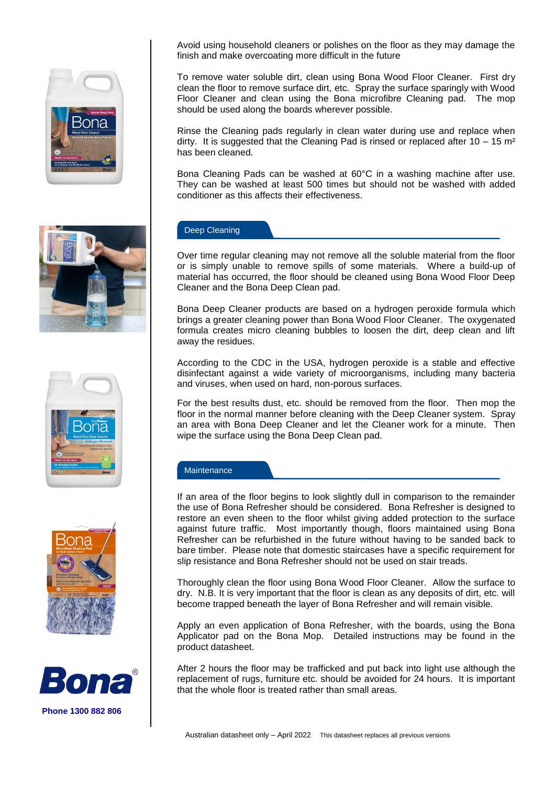

Avoid using household cleaners or polishes on the floor as they may damage the finish and make overcoating more difficult in the future

To remove water soluble dirt, clean using Bona Wood Floor Cleaner. First dry clean the floor to remove surface dirt, etc. Spray the surface sparingly with Wood Floor Cleaner and clean using the Bona microfibre Cleaning pad. The mop should be used along the boards wherever possible.

Rinse the Cleaning pads regularly in clean water during use and replace when dirty. It is suggested that the Cleaning Pad is rinsed or replaced after  $10 - 15$  m<sup>2</sup> has been cleaned.

Bona Cleaning Pads can be washed at 60°C in a washing machine after use. They can be washed at least 500 times but should not be washed with added conditioner as this affects their effectiveness.

## Deep Cleaning

Over time regular cleaning may not remove all the soluble material from the floor or is simply unable to remove spills of some materials. Where a build-up of material has occurred, the floor should be cleaned using Bona Wood Floor Deep Cleaner and the Bona Deep Clean pad.

Bona Deep Cleaner products are based on a hydrogen peroxide formula which brings a greater cleaning power than Bona Wood Floor Cleaner. The oxygenated formula creates micro cleaning bubbles to loosen the dirt, deep clean and lift away the residues.

According to the CDC in the USA, hydrogen peroxide is a stable and effective disinfectant against a wide variety of microorganisms, including many bacteria and viruses, when used on hard, non-porous surfaces.

For the best results dust, etc. should be removed from the floor. Then mop the floor in the normal manner before cleaning with the Deep Cleaner system. Spray an area with Bona Deep Cleaner and let the Cleaner work for a minute. Then wipe the surface using the Bona Deep Clean pad.

## **Maintenance**

If an area of the floor begins to look slightly dull in comparison to the remainder the use of Bona Refresher should be considered. Bona Refresher is designed to restore an even sheen to the floor whilst giving added protection to the surface against future traffic. Most importantly though, floors maintained using Bona Refresher can be refurbished in the future without having to be sanded back to bare timber. Please note that domestic staircases have a specific requirement for slip resistance and Bona Refresher should not be used on stair treads.

Thoroughly clean the floor using Bona Wood Floor Cleaner. Allow the surface to dry. N.B. It is very important that the floor is clean as any deposits of dirt, etc. will become trapped beneath the layer of Bona Refresher and will remain visible.

Apply an even application of Bona Refresher, with the boards, using the Bona Applicator pad on the Bona Mop. Detailed instructions may be found in the product datasheet.

After 2 hours the floor may be trafficked and put back into light use although the replacement of rugs, furniture etc. should be avoided for 24 hours. It is important that the whole floor is treated rather than small areas.